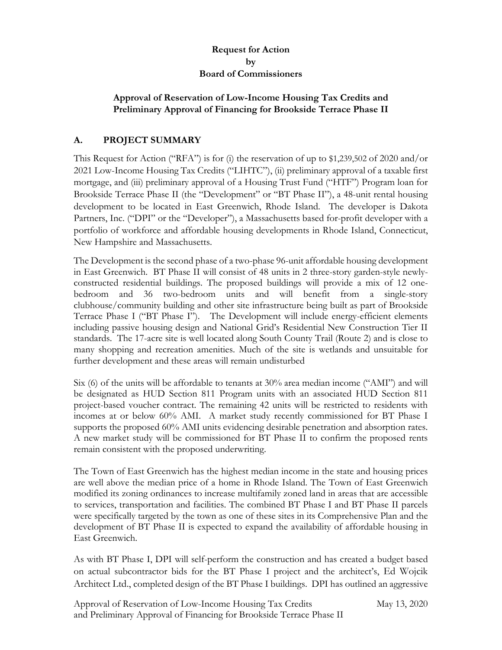### **Request for Action by Board of Commissioners**

### **Approval of Reservation of Low-Income Housing Tax Credits and Preliminary Approval of Financing for Brookside Terrace Phase II**

# **A. PROJECT SUMMARY**

This Request for Action ("RFA") is for (i) the reservation of up to \$1,239,502 of 2020 and/or 2021 Low-Income Housing Tax Credits ("LIHTC"), (ii) preliminary approval of a taxable first mortgage, and (iii) preliminary approval of a Housing Trust Fund ("HTF") Program loan for Brookside Terrace Phase II (the "Development" or "BT Phase II"), a 48-unit rental housing development to be located in East Greenwich, Rhode Island. The developer is Dakota Partners, Inc. ("DPI" or the "Developer"), a Massachusetts based for-profit developer with a portfolio of workforce and affordable housing developments in Rhode Island, Connecticut, New Hampshire and Massachusetts.

The Development is the second phase of a two-phase 96-unit affordable housing development in East Greenwich. BT Phase II will consist of 48 units in 2 three-story garden-style newlyconstructed residential buildings. The proposed buildings will provide a mix of 12 onebedroom and 36 two-bedroom units and will benefit from a single-story clubhouse/community building and other site infrastructure being built as part of Brookside Terrace Phase I ("BT Phase I"). The Development will include energy-efficient elements including passive housing design and National Grid's Residential New Construction Tier II standards. The 17-acre site is well located along South County Trail (Route 2) and is close to many shopping and recreation amenities. Much of the site is wetlands and unsuitable for further development and these areas will remain undisturbed

Six (6) of the units will be affordable to tenants at 30% area median income ("AMI") and will be designated as HUD Section 811 Program units with an associated HUD Section 811 project-based voucher contract. The remaining 42 units will be restricted to residents with incomes at or below 60% AMI. A market study recently commissioned for BT Phase I supports the proposed 60% AMI units evidencing desirable penetration and absorption rates. A new market study will be commissioned for BT Phase II to confirm the proposed rents remain consistent with the proposed underwriting.

The Town of East Greenwich has the highest median income in the state and housing prices are well above the median price of a home in Rhode Island. The Town of East Greenwich modified its zoning ordinances to increase multifamily zoned land in areas that are accessible to services, transportation and facilities. The combined BT Phase I and BT Phase II parcels were specifically targeted by the town as one of these sites in its Comprehensive Plan and the development of BT Phase II is expected to expand the availability of affordable housing in East Greenwich.

As with BT Phase I, DPI will self-perform the construction and has created a budget based on actual subcontractor bids for the BT Phase I project and the architect's, Ed Wojcik Architect Ltd., completed design of the BT Phase I buildings. DPI has outlined an aggressive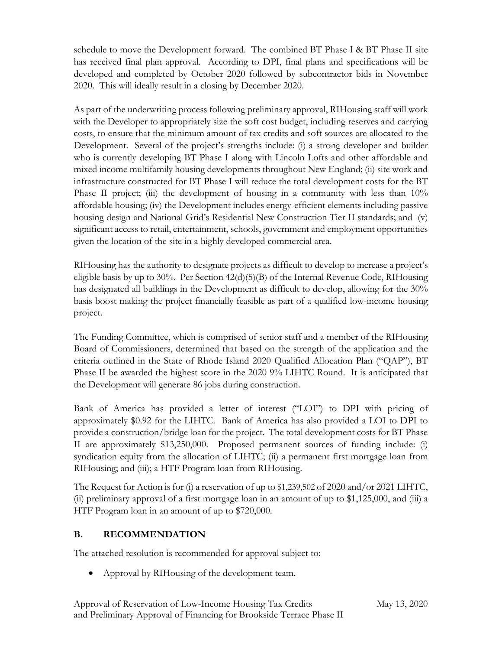schedule to move the Development forward. The combined BT Phase I & BT Phase II site has received final plan approval. According to DPI, final plans and specifications will be developed and completed by October 2020 followed by subcontractor bids in November 2020. This will ideally result in a closing by December 2020.

As part of the underwriting process following preliminary approval, RIHousing staff will work with the Developer to appropriately size the soft cost budget, including reserves and carrying costs, to ensure that the minimum amount of tax credits and soft sources are allocated to the Development. Several of the project's strengths include: (i) a strong developer and builder who is currently developing BT Phase I along with Lincoln Lofts and other affordable and mixed income multifamily housing developments throughout New England; (ii) site work and infrastructure constructed for BT Phase I will reduce the total development costs for the BT Phase II project; (iii) the development of housing in a community with less than  $10\%$ affordable housing; (iv) the Development includes energy-efficient elements including passive housing design and National Grid's Residential New Construction Tier II standards; and (v) significant access to retail, entertainment, schools, government and employment opportunities given the location of the site in a highly developed commercial area.

RIHousing has the authority to designate projects as difficult to develop to increase a project's eligible basis by up to 30%. Per Section 42(d)(5)(B) of the Internal Revenue Code, RIHousing has designated all buildings in the Development as difficult to develop, allowing for the 30% basis boost making the project financially feasible as part of a qualified low-income housing project.

The Funding Committee, which is comprised of senior staff and a member of the RIHousing Board of Commissioners, determined that based on the strength of the application and the criteria outlined in the State of Rhode Island 2020 Qualified Allocation Plan ("QAP"), BT Phase II be awarded the highest score in the 2020 9% LIHTC Round. It is anticipated that the Development will generate 86 jobs during construction.

Bank of America has provided a letter of interest ("LOI") to DPI with pricing of approximately \$0.92 for the LIHTC. Bank of America has also provided a LOI to DPI to provide a construction/bridge loan for the project. The total development costs for BT Phase II are approximately \$13,250,000. Proposed permanent sources of funding include: (i) syndication equity from the allocation of LIHTC; (ii) a permanent first mortgage loan from RIHousing; and (iii); a HTF Program loan from RIHousing.

The Request for Action is for (i) a reservation of up to \$1,239,502 of 2020 and/or 2021 LIHTC, (ii) preliminary approval of a first mortgage loan in an amount of up to \$1,125,000, and (iii) a HTF Program loan in an amount of up to \$720,000.

# **B. RECOMMENDATION**

The attached resolution is recommended for approval subject to:

• Approval by RIHousing of the development team.

Approval of Reservation of Low-Income Housing Tax Credits May 13, 2020 and Preliminary Approval of Financing for Brookside Terrace Phase II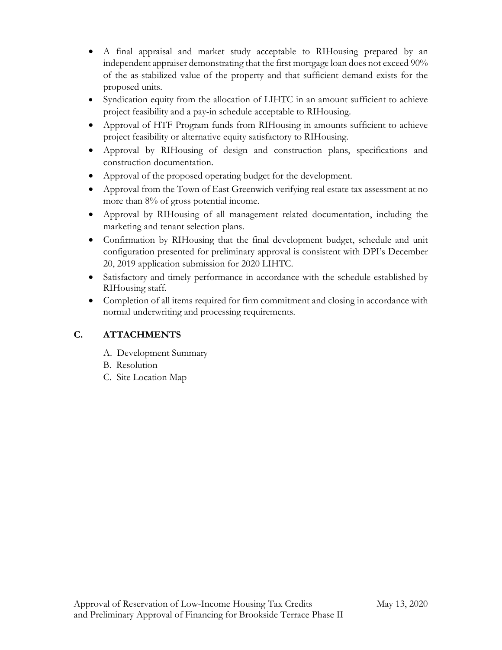- A final appraisal and market study acceptable to RIHousing prepared by an independent appraiser demonstrating that the first mortgage loan does not exceed 90% of the as-stabilized value of the property and that sufficient demand exists for the proposed units.
- Syndication equity from the allocation of LIHTC in an amount sufficient to achieve project feasibility and a pay-in schedule acceptable to RIHousing.
- Approval of HTF Program funds from RIHousing in amounts sufficient to achieve project feasibility or alternative equity satisfactory to RIHousing.
- Approval by RIHousing of design and construction plans, specifications and construction documentation.
- Approval of the proposed operating budget for the development.
- Approval from the Town of East Greenwich verifying real estate tax assessment at no more than 8% of gross potential income.
- Approval by RIHousing of all management related documentation, including the marketing and tenant selection plans.
- Confirmation by RIHousing that the final development budget, schedule and unit configuration presented for preliminary approval is consistent with DPI's December 20, 2019 application submission for 2020 LIHTC.
- Satisfactory and timely performance in accordance with the schedule established by RIHousing staff.
- Completion of all items required for firm commitment and closing in accordance with normal underwriting and processing requirements.

# **C. ATTACHMENTS**

- A. Development Summary
- B. Resolution
- C. Site Location Map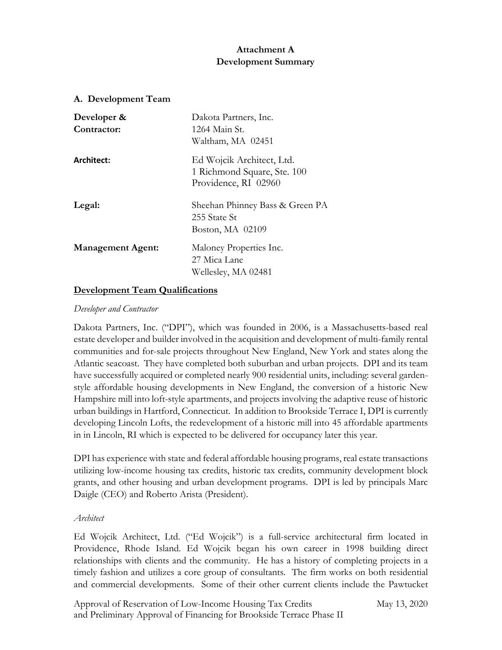### **Attachment A Development Summary**

#### **A. Development Team**

| Developer &<br>Contractor: | Dakota Partners, Inc.<br>1264 Main St.<br>Waltham, MA 02451                      |
|----------------------------|----------------------------------------------------------------------------------|
| Architect:                 | Ed Wojcik Architect, Ltd.<br>1 Richmond Square, Ste. 100<br>Providence, RI 02960 |
| Legal:                     | Sheehan Phinney Bass & Green PA<br>255 State St<br>Boston, MA 02109              |
| <b>Management Agent:</b>   | Maloney Properties Inc.<br>27 Mica Lane<br>Wellesley, MA 02481                   |

### **Development Team Qualifications**

#### *Developer and Contractor*

Dakota Partners, Inc. ("DPI"), which was founded in 2006, is a Massachusetts-based real estate developer and builder involved in the acquisition and development of multi-family rental communities and for-sale projects throughout New England, New York and states along the Atlantic seacoast. They have completed both suburban and urban projects. DPI and its team have successfully acquired or completed nearly 900 residential units, including: several gardenstyle affordable housing developments in New England, the conversion of a historic New Hampshire mill into loft-style apartments, and projects involving the adaptive reuse of historic urban buildings in Hartford, Connecticut. In addition to Brookside Terrace I, DPI is currently developing Lincoln Lofts, the redevelopment of a historic mill into 45 affordable apartments in in Lincoln, RI which is expected to be delivered for occupancy later this year.

DPI has experience with state and federal affordable housing programs, real estate transactions utilizing low-income housing tax credits, historic tax credits, community development block grants, and other housing and urban development programs. DPI is led by principals Marc Daigle (CEO) and Roberto Arista (President).

#### *Architect*

Ed Wojcik Architect, Ltd. ("Ed Wojcik") is a full-service architectural firm located in Providence, Rhode Island. Ed Wojcik began his own career in 1998 building direct relationships with clients and the community. He has a history of completing projects in a timely fashion and utilizes a core group of consultants. The firm works on both residential and commercial developments. Some of their other current clients include the Pawtucket

Approval of Reservation of Low-Income Housing Tax Credits May 13, 2020 and Preliminary Approval of Financing for Brookside Terrace Phase II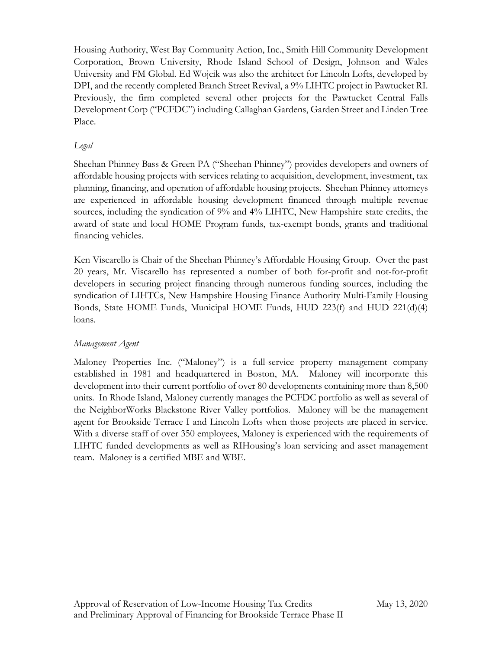Housing Authority, West Bay Community Action, Inc., Smith Hill Community Development Corporation, Brown University, Rhode Island School of Design, Johnson and Wales University and FM Global. Ed Wojcik was also the architect for Lincoln Lofts, developed by DPI, and the recently completed Branch Street Revival, a 9% LIHTC project in Pawtucket RI. Previously, the firm completed several other projects for the Pawtucket Central Falls Development Corp ("PCFDC") including Callaghan Gardens, Garden Street and Linden Tree Place.

# *Legal*

Sheehan Phinney Bass & Green PA ("Sheehan Phinney") provides developers and owners of affordable housing projects with services relating to acquisition, development, investment, tax planning, financing, and operation of affordable housing projects. Sheehan Phinney attorneys are experienced in affordable housing development financed through multiple revenue sources, including the syndication of 9% and 4% LIHTC, New Hampshire state credits, the award of state and local HOME Program funds, tax-exempt bonds, grants and traditional financing vehicles.

Ken Viscarello is Chair of the Sheehan Phinney's Affordable Housing Group. Over the past 20 years, Mr. Viscarello has represented a number of both for-profit and not-for-profit developers in securing project financing through numerous funding sources, including the syndication of LIHTCs, New Hampshire Housing Finance Authority Multi-Family Housing Bonds, State HOME Funds, Municipal HOME Funds, HUD 223(f) and HUD 221(d)(4) loans.

### *Management Agent*

Maloney Properties Inc. ("Maloney") is a full-service property management company established in 1981 and headquartered in Boston, MA. Maloney will incorporate this development into their current portfolio of over 80 developments containing more than 8,500 units. In Rhode Island, Maloney currently manages the PCFDC portfolio as well as several of the NeighborWorks Blackstone River Valley portfolios. Maloney will be the management agent for Brookside Terrace I and Lincoln Lofts when those projects are placed in service. With a diverse staff of over 350 employees, Maloney is experienced with the requirements of LIHTC funded developments as well as RIHousing's loan servicing and asset management team. Maloney is a certified MBE and WBE.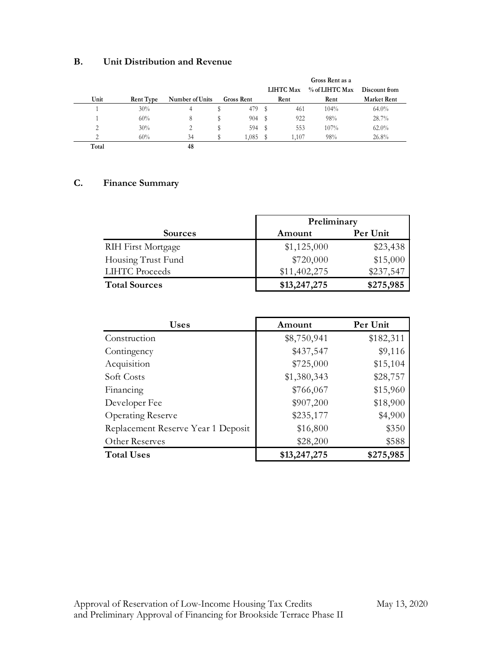### **B. Unit Distribution and Revenue**

|               |                  |                 |                   |   | LIHTC Max | Gross Rent as a<br>% of LIHTC Max | Discount from      |
|---------------|------------------|-----------------|-------------------|---|-----------|-----------------------------------|--------------------|
| Unit          | <b>Rent Type</b> | Number of Units | <b>Gross Rent</b> |   | Rent      | Rent                              | <b>Market Rent</b> |
|               | 30%              | 4               | 479               | s | 461       | 104%                              | 64.0%              |
|               | 60%              | 8               | 904               | s | 922       | 98%                               | 28.7%              |
| 2             | 30%              | 2               | 594               | s | 553       | 107%                              | 62.0%              |
| $\mathcal{L}$ | 60%              | 34              | 1.085             |   | 1.107     | 98%                               | 26.8%              |
| Total         |                  | 48              |                   |   |           |                                   |                    |

# **C. Finance Summary**

|                           | Preliminary  |           |  |
|---------------------------|--------------|-----------|--|
| <b>Sources</b>            | Amount       | Per Unit  |  |
| <b>RIH First Mortgage</b> | \$1,125,000  | \$23,438  |  |
| Housing Trust Fund        | \$720,000    | \$15,000  |  |
| <b>LIHTC</b> Proceeds     | \$11,402,275 | \$237,547 |  |
| <b>Total Sources</b>      | \$13,247,275 | \$275,985 |  |

| <b>Uses</b>                        | Amount       | Per Unit  |
|------------------------------------|--------------|-----------|
| Construction                       | \$8,750,941  | \$182,311 |
| Contingency                        | \$437,547    | \$9,116   |
| Acquisition                        | \$725,000    | \$15,104  |
| Soft Costs                         | \$1,380,343  | \$28,757  |
| Financing                          | \$766,067    | \$15,960  |
| Developer Fee                      | \$907,200    | \$18,900  |
| <b>Operating Reserve</b>           | \$235,177    | \$4,900   |
| Replacement Reserve Year 1 Deposit | \$16,800     | \$350     |
| Other Reserves                     | \$28,200     | \$588     |
| <b>Total Uses</b>                  | \$13,247,275 | \$275,985 |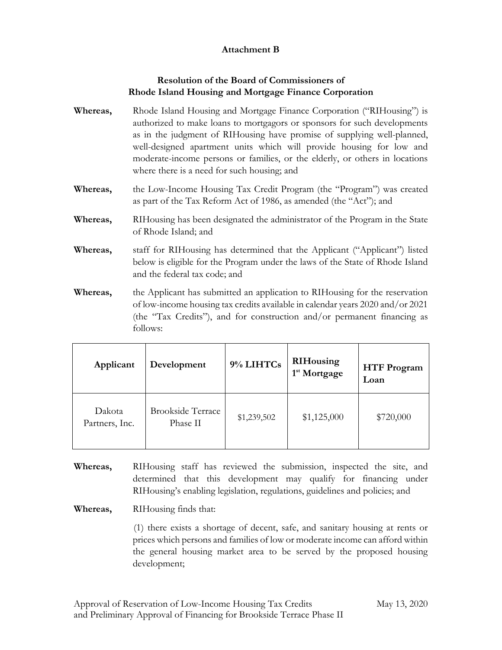### **Attachment B**

### **Resolution of the Board of Commissioners of Rhode Island Housing and Mortgage Finance Corporation**

- **Whereas,** Rhode Island Housing and Mortgage Finance Corporation ("RIHousing") is authorized to make loans to mortgagors or sponsors for such developments as in the judgment of RIHousing have promise of supplying well-planned, well-designed apartment units which will provide housing for low and moderate-income persons or families, or the elderly, or others in locations where there is a need for such housing; and
- **Whereas,** the Low-Income Housing Tax Credit Program (the "Program") was created as part of the Tax Reform Act of 1986, as amended (the "Act"); and
- **Whereas,** RIHousing has been designated the administrator of the Program in the State of Rhode Island; and
- **Whereas,** staff for RIHousing has determined that the Applicant ("Applicant") listed below is eligible for the Program under the laws of the State of Rhode Island and the federal tax code; and
- **Whereas,** the Applicant has submitted an application to RIHousing for the reservation of low-income housing tax credits available in calendar years 2020 and/or 2021 (the "Tax Credits"), and for construction and/or permanent financing as follows:

| Applicant                | Development                          | 9% LIHTCs   | <b>RIHousing</b><br>1 <sup>st</sup> Mortgage | <b>HTF Program</b><br>Loan |
|--------------------------|--------------------------------------|-------------|----------------------------------------------|----------------------------|
| Dakota<br>Partners, Inc. | <b>Brookside Terrace</b><br>Phase II | \$1,239,502 | \$1,125,000                                  | \$720,000                  |

**Whereas,** RIHousing staff has reviewed the submission, inspected the site, and determined that this development may qualify for financing under RIHousing's enabling legislation, regulations, guidelines and policies; and

**Whereas,** RIHousing finds that:

(1) there exists a shortage of decent, safe, and sanitary housing at rents or prices which persons and families of low or moderate income can afford within the general housing market area to be served by the proposed housing development;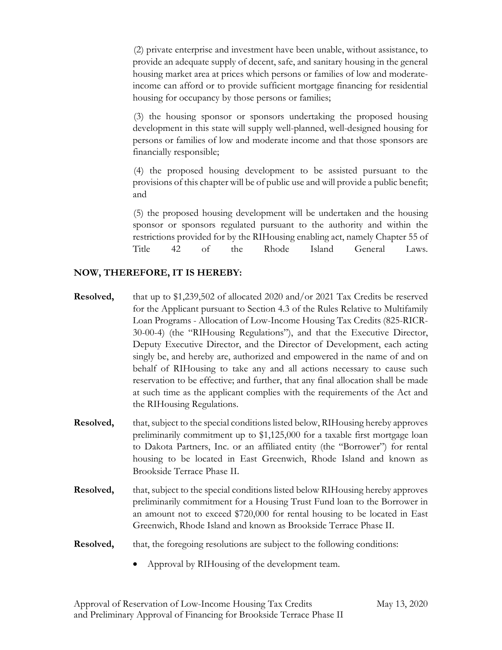(2) private enterprise and investment have been unable, without assistance, to provide an adequate supply of decent, safe, and sanitary housing in the general housing market area at prices which persons or families of low and moderateincome can afford or to provide sufficient mortgage financing for residential housing for occupancy by those persons or families;

(3) the housing sponsor or sponsors undertaking the proposed housing development in this state will supply well-planned, well-designed housing for persons or families of low and moderate income and that those sponsors are financially responsible;

(4) the proposed housing development to be assisted pursuant to the provisions of this chapter will be of public use and will provide a public benefit; and

(5) the proposed housing development will be undertaken and the housing sponsor or sponsors regulated pursuant to the authority and within the restrictions provided for by the RIHousing enabling act, namely Chapter 55 of Title 42 of the Rhode Island General Laws.

### **NOW, THEREFORE, IT IS HEREBY:**

- **Resolved,** that up to \$1,239,502 of allocated 2020 and/or 2021 Tax Credits be reserved for the Applicant pursuant to Section 4.3 of the Rules Relative to Multifamily Loan Programs - Allocation of Low-Income Housing Tax Credits (825-RICR-30-00-4) (the "RIHousing Regulations"), and that the Executive Director, Deputy Executive Director, and the Director of Development, each acting singly be, and hereby are, authorized and empowered in the name of and on behalf of RIHousing to take any and all actions necessary to cause such reservation to be effective; and further, that any final allocation shall be made at such time as the applicant complies with the requirements of the Act and the RIHousing Regulations.
- **Resolved,** that, subject to the special conditions listed below, RIHousing hereby approves preliminarily commitment up to \$1,125,000 for a taxable first mortgage loan to Dakota Partners, Inc. or an affiliated entity (the "Borrower") for rental housing to be located in East Greenwich, Rhode Island and known as Brookside Terrace Phase II.
- **Resolved,** that, subject to the special conditions listed below RIHousing hereby approves preliminarily commitment for a Housing Trust Fund loan to the Borrower in an amount not to exceed \$720,000 for rental housing to be located in East Greenwich, Rhode Island and known as Brookside Terrace Phase II.
- **Resolved,** that, the foregoing resolutions are subject to the following conditions:
	- Approval by RIHousing of the development team.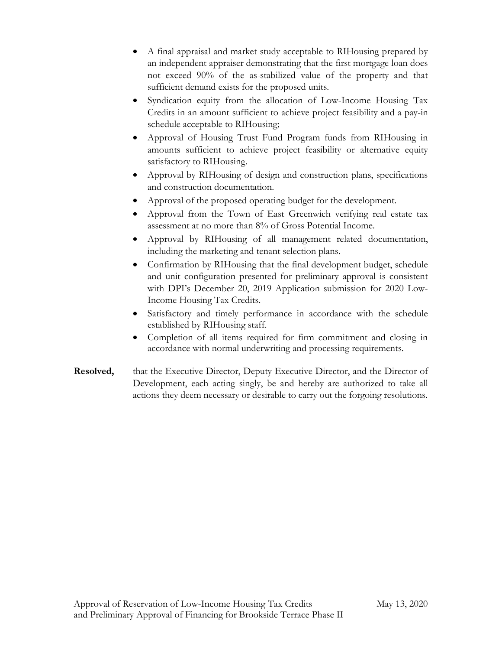- A final appraisal and market study acceptable to RIHousing prepared by an independent appraiser demonstrating that the first mortgage loan does not exceed 90% of the as-stabilized value of the property and that sufficient demand exists for the proposed units.
- Syndication equity from the allocation of Low-Income Housing Tax Credits in an amount sufficient to achieve project feasibility and a pay-in schedule acceptable to RIHousing;
- Approval of Housing Trust Fund Program funds from RIHousing in amounts sufficient to achieve project feasibility or alternative equity satisfactory to RIHousing.
- Approval by RIHousing of design and construction plans, specifications and construction documentation.
- Approval of the proposed operating budget for the development.
- Approval from the Town of East Greenwich verifying real estate tax assessment at no more than 8% of Gross Potential Income.
- Approval by RIHousing of all management related documentation, including the marketing and tenant selection plans.
- Confirmation by RIHousing that the final development budget, schedule and unit configuration presented for preliminary approval is consistent with DPI's December 20, 2019 Application submission for 2020 Low-Income Housing Tax Credits.
- Satisfactory and timely performance in accordance with the schedule established by RIHousing staff.
- Completion of all items required for firm commitment and closing in accordance with normal underwriting and processing requirements.
- **Resolved,** that the Executive Director, Deputy Executive Director, and the Director of Development, each acting singly, be and hereby are authorized to take all actions they deem necessary or desirable to carry out the forgoing resolutions.